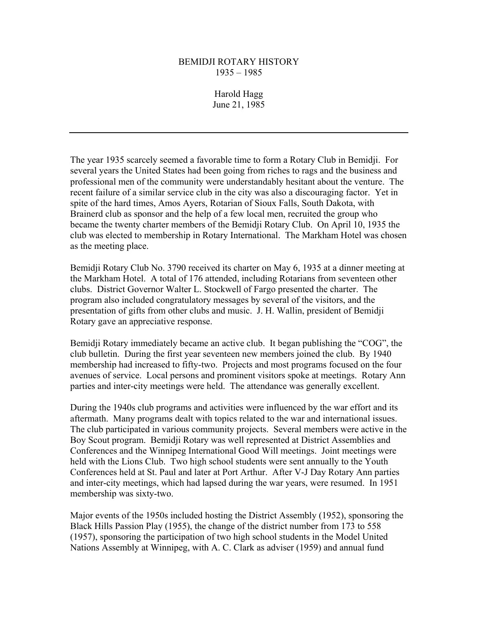## BEMIDJI ROTARY HISTORY 1935 – 1985

Harold Hagg June 21, 1985

The year 1935 scarcely seemed a favorable time to form a Rotary Club in Bemidji. For several years the United States had been going from riches to rags and the business and professional men of the community were understandably hesitant about the venture. The recent failure of a similar service club in the city was also a discouraging factor. Yet in spite of the hard times, Amos Ayers, Rotarian of Sioux Falls, South Dakota, with Brainerd club as sponsor and the help of a few local men, recruited the group who became the twenty charter members of the Bemidji Rotary Club. On April 10, 1935 the club was elected to membership in Rotary International. The Markham Hotel was chosen as the meeting place.

Bemidji Rotary Club No. 3790 received its charter on May 6, 1935 at a dinner meeting at the Markham Hotel. A total of 176 attended, including Rotarians from seventeen other clubs. District Governor Walter L. Stockwell of Fargo presented the charter. The program also included congratulatory messages by several of the visitors, and the presentation of gifts from other clubs and music. J. H. Wallin, president of Bemidji Rotary gave an appreciative response.

Bemidji Rotary immediately became an active club. It began publishing the "COG", the club bulletin. During the first year seventeen new members joined the club. By 1940 membership had increased to fifty-two. Projects and most programs focused on the four avenues of service. Local persons and prominent visitors spoke at meetings. Rotary Ann parties and inter-city meetings were held. The attendance was generally excellent.

During the 1940s club programs and activities were influenced by the war effort and its aftermath. Many programs dealt with topics related to the war and international issues. The club participated in various community projects. Several members were active in the Boy Scout program. Bemidji Rotary was well represented at District Assemblies and Conferences and the Winnipeg International Good Will meetings. Joint meetings were held with the Lions Club. Two high school students were sent annually to the Youth Conferences held at St. Paul and later at Port Arthur. After V-J Day Rotary Ann parties and inter-city meetings, which had lapsed during the war years, were resumed. In 1951 membership was sixty-two.

Major events of the 1950s included hosting the District Assembly (1952), sponsoring the Black Hills Passion Play (1955), the change of the district number from 173 to 558 (1957), sponsoring the participation of two high school students in the Model United Nations Assembly at Winnipeg, with A. C. Clark as adviser (1959) and annual fund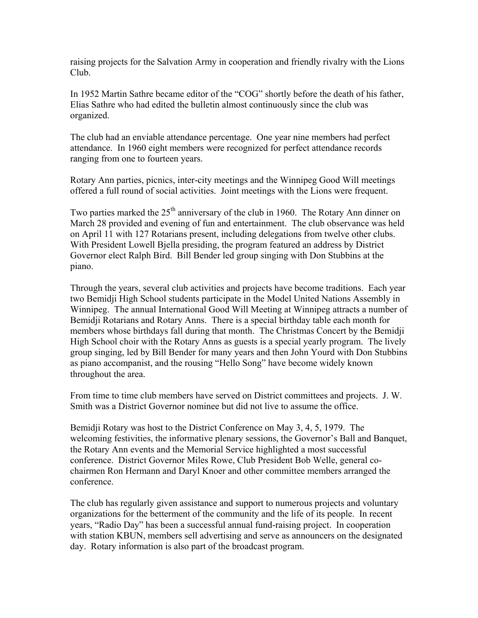raising projects for the Salvation Army in cooperation and friendly rivalry with the Lions Club.

In 1952 Martin Sathre became editor of the "COG" shortly before the death of his father, Elias Sathre who had edited the bulletin almost continuously since the club was organized.

The club had an enviable attendance percentage. One year nine members had perfect attendance. In 1960 eight members were recognized for perfect attendance records ranging from one to fourteen years.

Rotary Ann parties, picnics, inter-city meetings and the Winnipeg Good Will meetings offered a full round of social activities. Joint meetings with the Lions were frequent.

Two parties marked the  $25<sup>th</sup>$  anniversary of the club in 1960. The Rotary Ann dinner on March 28 provided and evening of fun and entertainment. The club observance was held on April 11 with 127 Rotarians present, including delegations from twelve other clubs. With President Lowell Bjella presiding, the program featured an address by District Governor elect Ralph Bird. Bill Bender led group singing with Don Stubbins at the piano.

Through the years, several club activities and projects have become traditions. Each year two Bemidji High School students participate in the Model United Nations Assembly in Winnipeg. The annual International Good Will Meeting at Winnipeg attracts a number of Bemidji Rotarians and Rotary Anns. There is a special birthday table each month for members whose birthdays fall during that month. The Christmas Concert by the Bemidji High School choir with the Rotary Anns as guests is a special yearly program. The lively group singing, led by Bill Bender for many years and then John Yourd with Don Stubbins as piano accompanist, and the rousing "Hello Song" have become widely known throughout the area.

From time to time club members have served on District committees and projects. J. W. Smith was a District Governor nominee but did not live to assume the office.

Bemidji Rotary was host to the District Conference on May 3, 4, 5, 1979. The welcoming festivities, the informative plenary sessions, the Governor's Ball and Banquet, the Rotary Ann events and the Memorial Service highlighted a most successful conference. District Governor Miles Rowe, Club President Bob Welle, general cochairmen Ron Hermann and Daryl Knoer and other committee members arranged the conference.

The club has regularly given assistance and support to numerous projects and voluntary organizations for the betterment of the community and the life of its people. In recent years, "Radio Day" has been a successful annual fund-raising project. In cooperation with station KBUN, members sell advertising and serve as announcers on the designated day. Rotary information is also part of the broadcast program.